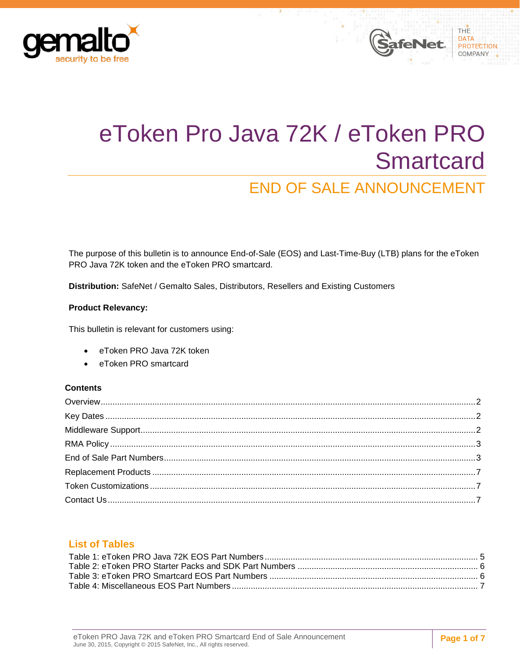



# END OF SALE ANNOUNCEMENT

The purpose of this bulletin is to announce End-of-Sale (EOS) and Last-Time-Buy (LTB) plans for the eToken PRO Java 72K token and the eToken PRO smartcard.

**Distribution:** SafeNet / Gemalto Sales, Distributors, Resellers and Existing Customers

#### **Product Relevancy:**

This bulletin is relevant for customers using:

- eToken PRO Java 72K token
- eToken PRO smartcard

#### **Contents**

### **List of Tables**

THE

DATA **PROTECTION** COMPANY

**SafeNet**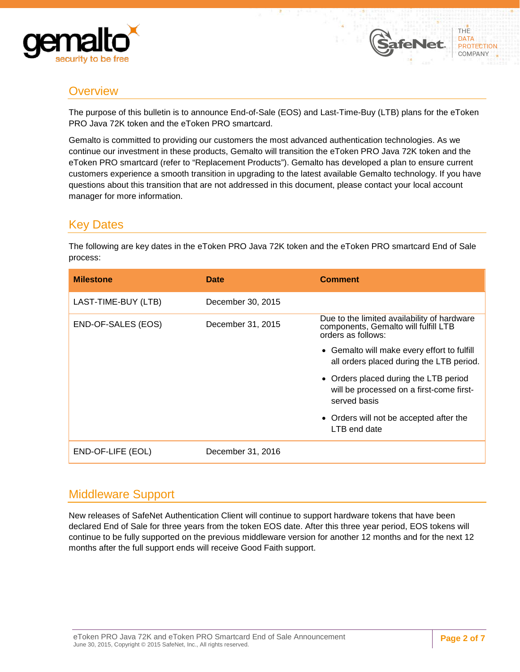



# <span id="page-1-0"></span>**Overview**

The purpose of this bulletin is to announce End-of-Sale (EOS) and Last-Time-Buy (LTB) plans for the eToken PRO Java 72K token and the eToken PRO smartcard.

Gemalto is committed to providing our customers the most advanced authentication technologies. As we continue our investment in these products, Gemalto will transition the eToken PRO Java 72K token and the eToken PRO smartcard (refer to "Replacement Products"). Gemalto has developed a plan to ensure current customers experience a smooth transition in upgrading to the latest available Gemalto technology. If you have questions about this transition that are not addressed in this document, please contact your local account manager for more information.

### <span id="page-1-1"></span>Key Dates

The following are key dates in the eToken PRO Java 72K token and the eToken PRO smartcard End of Sale process:

| <b>Milestone</b>    | <b>Date</b>       | <b>Comment</b>                                                                                            |
|---------------------|-------------------|-----------------------------------------------------------------------------------------------------------|
| LAST-TIME-BUY (LTB) | December 30, 2015 |                                                                                                           |
| END-OF-SALES (EOS)  | December 31, 2015 | Due to the limited availability of hardware<br>components, Gemalto will fulfill LTB<br>orders as follows: |
|                     |                   | • Gemalto will make every effort to fulfill<br>all orders placed during the LTB period.                   |
|                     |                   | • Orders placed during the LTB period<br>will be processed on a first-come first-<br>served basis         |
|                     |                   | • Orders will not be accepted after the<br>LTB end date                                                   |
| END-OF-LIFE (EOL)   | December 31, 2016 |                                                                                                           |

# <span id="page-1-2"></span>Middleware Support

New releases of SafeNet Authentication Client will continue to support hardware tokens that have been declared End of Sale for three years from the token EOS date. After this three year period, EOS tokens will continue to be fully supported on the previous middleware version for another 12 months and for the next 12 months after the full support ends will receive Good Faith support.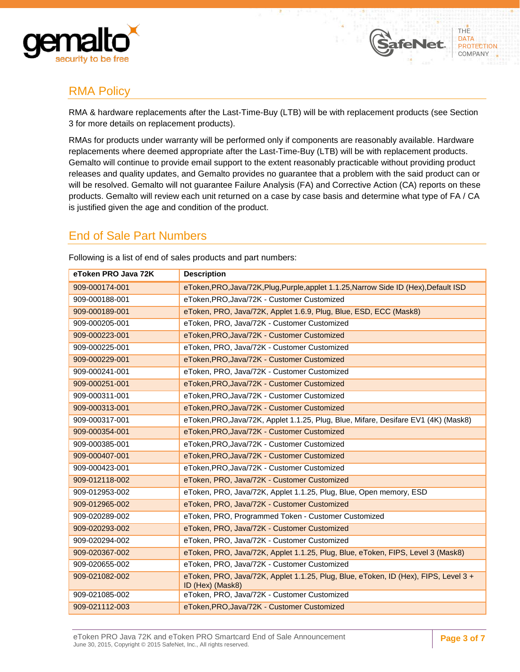



afeNet

# <span id="page-2-0"></span>RMA Policy

RMA & hardware replacements after the Last-Time-Buy (LTB) will be with replacement products (see Section 3 for more details on replacement products).

RMAs for products under warranty will be performed only if components are reasonably available. Hardware replacements where deemed appropriate after the Last-Time-Buy (LTB) will be with replacement products. Gemalto will continue to provide email support to the extent reasonably practicable without providing product releases and quality updates, and Gemalto provides no guarantee that a problem with the said product can or will be resolved. Gemalto will not guarantee Failure Analysis (FA) and Corrective Action (CA) reports on these products. Gemalto will review each unit returned on a case by case basis and determine what type of FA / CA is justified given the age and condition of the product.

### <span id="page-2-1"></span>End of Sale Part Numbers

| eToken PRO Java 72K | <b>Description</b>                                                                                      |  |
|---------------------|---------------------------------------------------------------------------------------------------------|--|
| 909-000174-001      | eToken, PRO, Java/72K, Plug, Purple, applet 1.1.25, Narrow Side ID (Hex), Default ISD                   |  |
| 909-000188-001      | eToken, PRO, Java/72K - Customer Customized                                                             |  |
| 909-000189-001      | eToken, PRO, Java/72K, Applet 1.6.9, Plug, Blue, ESD, ECC (Mask8)                                       |  |
| 909-000205-001      | eToken, PRO, Java/72K - Customer Customized                                                             |  |
| 909-000223-001      | eToken, PRO, Java/72K - Customer Customized                                                             |  |
| 909-000225-001      | eToken, PRO, Java/72K - Customer Customized                                                             |  |
| 909-000229-001      | eToken, PRO, Java/72K - Customer Customized                                                             |  |
| 909-000241-001      | eToken, PRO, Java/72K - Customer Customized                                                             |  |
| 909-000251-001      | eToken, PRO, Java/72K - Customer Customized                                                             |  |
| 909-000311-001      | eToken, PRO, Java/72K - Customer Customized                                                             |  |
| 909-000313-001      | eToken, PRO, Java/72K - Customer Customized                                                             |  |
| 909-000317-001      | eToken, PRO, Java/72K, Applet 1.1.25, Plug, Blue, Mifare, Desifare EV1 (4K) (Mask8)                     |  |
| 909-000354-001      | eToken, PRO, Java/72K - Customer Customized                                                             |  |
| 909-000385-001      | eToken, PRO, Java/72K - Customer Customized                                                             |  |
| 909-000407-001      | eToken, PRO, Java/72K - Customer Customized                                                             |  |
| 909-000423-001      | eToken, PRO, Java/72K - Customer Customized                                                             |  |
| 909-012118-002      | eToken, PRO, Java/72K - Customer Customized                                                             |  |
| 909-012953-002      | eToken, PRO, Java/72K, Applet 1.1.25, Plug, Blue, Open memory, ESD                                      |  |
| 909-012965-002      | eToken, PRO, Java/72K - Customer Customized                                                             |  |
| 909-020289-002      | eToken, PRO, Programmed Token - Customer Customized                                                     |  |
| 909-020293-002      | eToken, PRO, Java/72K - Customer Customized                                                             |  |
| 909-020294-002      | eToken, PRO, Java/72K - Customer Customized                                                             |  |
| 909-020367-002      | eToken, PRO, Java/72K, Applet 1.1.25, Plug, Blue, eToken, FIPS, Level 3 (Mask8)                         |  |
| 909-020655-002      | eToken, PRO, Java/72K - Customer Customized                                                             |  |
| 909-021082-002      | eToken, PRO, Java/72K, Applet 1.1.25, Plug, Blue, eToken, ID (Hex), FIPS, Level 3 +<br>ID (Hex) (Mask8) |  |
| 909-021085-002      | eToken, PRO, Java/72K - Customer Customized                                                             |  |
| 909-021112-003      | eToken, PRO, Java/72K - Customer Customized                                                             |  |

Following is a list of end of sales products and part numbers: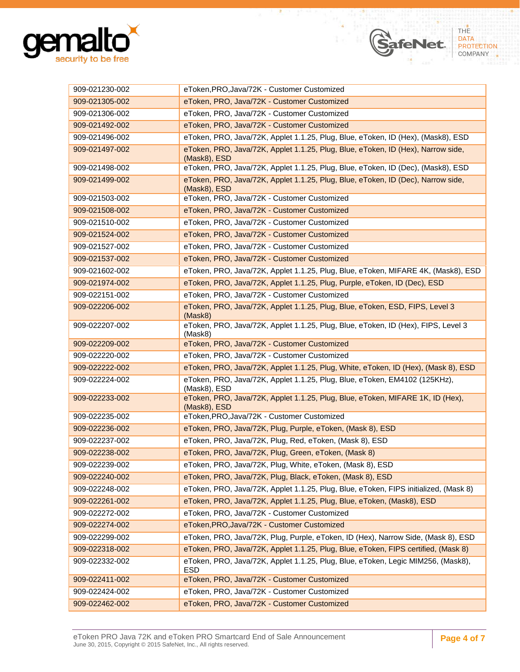

| 909-021230-002 | eToken, PRO, Java/72K - Customer Customized                                                         |  |  |
|----------------|-----------------------------------------------------------------------------------------------------|--|--|
| 909-021305-002 | eToken, PRO, Java/72K - Customer Customized                                                         |  |  |
| 909-021306-002 | eToken, PRO, Java/72K - Customer Customized                                                         |  |  |
| 909-021492-002 | eToken, PRO, Java/72K - Customer Customized                                                         |  |  |
| 909-021496-002 | eToken, PRO, Java/72K, Applet 1.1.25, Plug, Blue, eToken, ID (Hex), (Mask8), ESD                    |  |  |
| 909-021497-002 | eToken, PRO, Java/72K, Applet 1.1.25, Plug, Blue, eToken, ID (Hex), Narrow side,<br>(Mask8), ESD    |  |  |
| 909-021498-002 | eToken, PRO, Java/72K, Applet 1.1.25, Plug, Blue, eToken, ID (Dec), (Mask8), ESD                    |  |  |
| 909-021499-002 | eToken, PRO, Java/72K, Applet 1.1.25, Plug, Blue, eToken, ID (Dec), Narrow side,<br>(Mask8), ESD    |  |  |
| 909-021503-002 | eToken, PRO, Java/72K - Customer Customized                                                         |  |  |
| 909-021508-002 | eToken, PRO, Java/72K - Customer Customized                                                         |  |  |
| 909-021510-002 | eToken, PRO, Java/72K - Customer Customized                                                         |  |  |
| 909-021524-002 | eToken, PRO, Java/72K - Customer Customized                                                         |  |  |
| 909-021527-002 | eToken, PRO, Java/72K - Customer Customized                                                         |  |  |
| 909-021537-002 | eToken, PRO, Java/72K - Customer Customized                                                         |  |  |
| 909-021602-002 | eToken, PRO, Java/72K, Applet 1.1.25, Plug, Blue, eToken, MIFARE 4K, (Mask8), ESD                   |  |  |
| 909-021974-002 | eToken, PRO, Java/72K, Applet 1.1.25, Plug, Purple, eToken, ID (Dec), ESD                           |  |  |
| 909-022151-002 | eToken, PRO, Java/72K - Customer Customized                                                         |  |  |
| 909-022206-002 | eToken, PRO, Java/72K, Applet 1.1.25, Plug, Blue, eToken, ESD, FIPS, Level 3<br>(Mask8)             |  |  |
| 909-022207-002 | eToken, PRO, Java/72K, Applet 1.1.25, Plug, Blue, eToken, ID (Hex), FIPS, Level 3<br>(Mask8)        |  |  |
| 909-022209-002 | eToken, PRO, Java/72K - Customer Customized                                                         |  |  |
| 909-022220-002 | eToken, PRO, Java/72K - Customer Customized                                                         |  |  |
| 909-022222-002 | eToken, PRO, Java/72K, Applet 1.1.25, Plug, White, eToken, ID (Hex), (Mask 8), ESD                  |  |  |
| 909-022224-002 | eToken, PRO, Java/72K, Applet 1.1.25, Plug, Blue, eToken, EM4102 (125KHz),<br>(Mask8), ESD          |  |  |
| 909-022233-002 | eToken, PRO, Java/72K, Applet 1.1.25, Plug, Blue, eToken, MIFARE 1K, ID (Hex),<br>$(Mask8)$ , $ESD$ |  |  |
| 909-022235-002 | eToken, PRO, Java/72K - Customer Customized                                                         |  |  |
| 909-022236-002 | eToken, PRO, Java/72K, Plug, Purple, eToken, (Mask 8), ESD                                          |  |  |
| 909-022237-002 | eToken, PRO, Java/72K, Plug, Red, eToken, (Mask 8), ESD                                             |  |  |
| 909-022238-002 | eToken, PRO, Java/72K, Plug, Green, eToken, (Mask 8)                                                |  |  |
| 909-022239-002 | eToken, PRO, Java/72K, Plug, White, eToken, (Mask 8), ESD                                           |  |  |
| 909-022240-002 | eToken, PRO, Java/72K, Plug, Black, eToken, (Mask 8), ESD                                           |  |  |
| 909-022248-002 | eToken, PRO, Java/72K, Applet 1.1.25, Plug, Blue, eToken, FIPS initialized, (Mask 8)                |  |  |
| 909-022261-002 | eToken, PRO, Java/72K, Applet 1.1.25, Plug, Blue, eToken, (Mask8), ESD                              |  |  |
| 909-022272-002 | eToken, PRO, Java/72K - Customer Customized                                                         |  |  |
| 909-022274-002 | eToken, PRO, Java/72K - Customer Customized                                                         |  |  |
| 909-022299-002 | eToken, PRO, Java/72K, Plug, Purple, eToken, ID (Hex), Narrow Side, (Mask 8), ESD                   |  |  |
| 909-022318-002 | eToken, PRO, Java/72K, Applet 1.1.25, Plug, Blue, eToken, FIPS certified, (Mask 8)                  |  |  |
| 909-022332-002 | eToken, PRO, Java/72K, Applet 1.1.25, Plug, Blue, eToken, Legic MIM256, (Mask8),<br><b>ESD</b>      |  |  |
| 909-022411-002 | eToken, PRO, Java/72K - Customer Customized                                                         |  |  |
| 909-022424-002 | eToken, PRO, Java/72K - Customer Customized                                                         |  |  |
| 909-022462-002 | eToken, PRO, Java/72K - Customer Customized                                                         |  |  |

SafeNet

THE<br>DATA

PROTECTION<br>COMPANY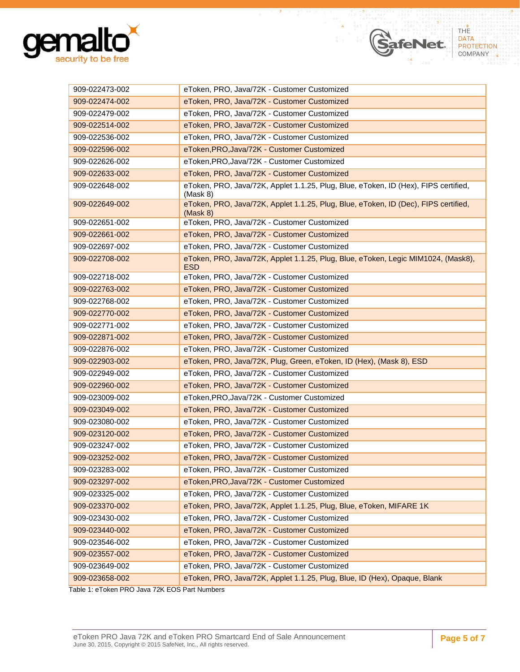

| 909-022473-002 | eToken, PRO, Java/72K - Customer Customized                                                     |
|----------------|-------------------------------------------------------------------------------------------------|
| 909-022474-002 | eToken, PRO, Java/72K - Customer Customized                                                     |
| 909-022479-002 | eToken, PRO, Java/72K - Customer Customized                                                     |
| 909-022514-002 | eToken, PRO, Java/72K - Customer Customized                                                     |
| 909-022536-002 | eToken, PRO, Java/72K - Customer Customized                                                     |
| 909-022596-002 | eToken, PRO, Java/72K - Customer Customized                                                     |
| 909-022626-002 | eToken, PRO, Java/72K - Customer Customized                                                     |
| 909-022633-002 | eToken, PRO, Java/72K - Customer Customized                                                     |
| 909-022648-002 | eToken, PRO, Java/72K, Applet 1.1.25, Plug, Blue, eToken, ID (Hex), FIPS certified,<br>(Mask 8) |
| 909-022649-002 | eToken, PRO, Java/72K, Applet 1.1.25, Plug, Blue, eToken, ID (Dec), FIPS certified,<br>(Mask 8) |
| 909-022651-002 | eToken, PRO, Java/72K - Customer Customized                                                     |
| 909-022661-002 | eToken, PRO, Java/72K - Customer Customized                                                     |
| 909-022697-002 | eToken, PRO, Java/72K - Customer Customized                                                     |
| 909-022708-002 | eToken, PRO, Java/72K, Applet 1.1.25, Plug, Blue, eToken, Legic MIM1024, (Mask8),<br><b>ESD</b> |
| 909-022718-002 | eToken, PRO, Java/72K - Customer Customized                                                     |
| 909-022763-002 | eToken, PRO, Java/72K - Customer Customized                                                     |
| 909-022768-002 | eToken, PRO, Java/72K - Customer Customized                                                     |
| 909-022770-002 | eToken, PRO, Java/72K - Customer Customized                                                     |
| 909-022771-002 | eToken, PRO, Java/72K - Customer Customized                                                     |
| 909-022871-002 | eToken, PRO, Java/72K - Customer Customized                                                     |
| 909-022876-002 | eToken, PRO, Java/72K - Customer Customized                                                     |
| 909-022903-002 | eToken, PRO, Java/72K, Plug, Green, eToken, ID (Hex), (Mask 8), ESD                             |
| 909-022949-002 | eToken, PRO, Java/72K - Customer Customized                                                     |
| 909-022960-002 | eToken, PRO, Java/72K - Customer Customized                                                     |
| 909-023009-002 | eToken, PRO, Java/72K - Customer Customized                                                     |
| 909-023049-002 | eToken, PRO, Java/72K - Customer Customized                                                     |
| 909-023080-002 | eToken, PRO, Java/72K - Customer Customized                                                     |
| 909-023120-002 | eToken, PRO, Java/72K - Customer Customized                                                     |
| 909-023247-002 | eToken, PRO, Java/72K - Customer Customized                                                     |
| 909-023252-002 | eToken, PRO, Java/72K - Customer Customized                                                     |
| 909-023283-002 | eToken, PRO, Java/72K - Customer Customized                                                     |
| 909-023297-002 | eToken, PRO, Java/72K - Customer Customized                                                     |
| 909-023325-002 | eToken, PRO, Java/72K - Customer Customized                                                     |
| 909-023370-002 | eToken, PRO, Java/72K, Applet 1.1.25, Plug, Blue, eToken, MIFARE 1K                             |
| 909-023430-002 | eToken, PRO, Java/72K - Customer Customized                                                     |
| 909-023440-002 | eToken, PRO, Java/72K - Customer Customized                                                     |
| 909-023546-002 | eToken, PRO, Java/72K - Customer Customized                                                     |
| 909-023557-002 | eToken, PRO, Java/72K - Customer Customized                                                     |
| 909-023649-002 | eToken, PRO, Java/72K - Customer Customized                                                     |
| 909-023658-002 | eToken, PRO, Java/72K, Applet 1.1.25, Plug, Blue, ID (Hex), Opaque, Blank                       |
|                |                                                                                                 |

SafeNet

THE DATA PROTECTION<br>COMPANY

<span id="page-4-0"></span>Table 1: eToken PRO Java 72K EOS Part Numbers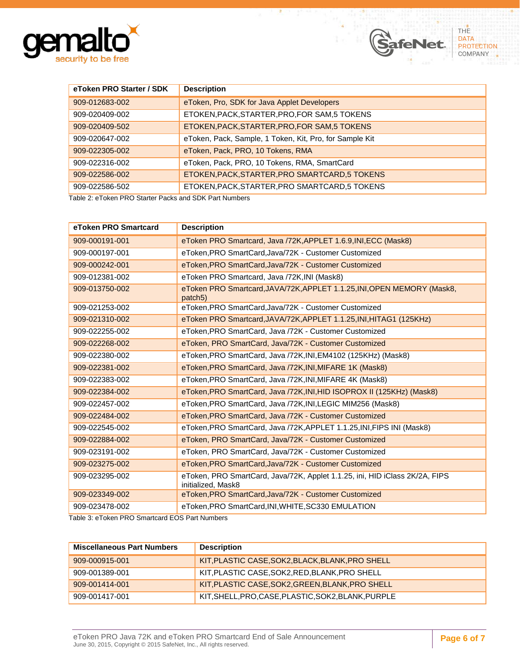

| eToken PRO Starter / SDK | <b>Description</b>                                      |  |
|--------------------------|---------------------------------------------------------|--|
| 909-012683-002           | eToken, Pro, SDK for Java Applet Developers             |  |
| 909-020409-002           | ETOKEN, PACK, STARTER, PRO, FOR SAM, 5 TOKENS           |  |
| 909-020409-502           | ETOKEN, PACK, STARTER, PRO, FOR SAM, 5 TOKENS           |  |
| 909-020647-002           | eToken, Pack, Sample, 1 Token, Kit, Pro, for Sample Kit |  |
| 909-022305-002           | eToken, Pack, PRO, 10 Tokens, RMA                       |  |
| 909-022316-002           | eToken, Pack, PRO, 10 Tokens, RMA, SmartCard            |  |
| 909-022586-002           | ETOKEN, PACK, STARTER, PRO SMARTCARD, 5 TOKENS          |  |
| 909-022586-502           | ETOKEN, PACK, STARTER, PRO SMARTCARD, 5 TOKENS          |  |

SafeNet.

THE

DATA PROTECTION<br>COMPANY

<span id="page-5-0"></span>Table 2: eToken PRO Starter Packs and SDK Part Numbers

| eToken PRO Smartcard | <b>Description</b>                                                                                |  |  |
|----------------------|---------------------------------------------------------------------------------------------------|--|--|
| 909-000191-001       | eToken PRO Smartcard, Java /72K, APPLET 1.6.9, INI, ECC (Mask8)                                   |  |  |
| 909-000197-001       | eToken, PRO SmartCard, Java/72K - Customer Customized                                             |  |  |
| 909-000242-001       | eToken, PRO SmartCard, Java/72K - Customer Customized                                             |  |  |
| 909-012381-002       | eToken PRO Smartcard, Java /72K, INI (Mask8)                                                      |  |  |
| 909-013750-002       | eToken PRO Smartcard, JAVA/72K, APPLET 1.1.25, INI, OPEN MEMORY (Mask8,<br>patch <sub>5</sub> )   |  |  |
| 909-021253-002       | eToken, PRO SmartCard, Java/72K - Customer Customized                                             |  |  |
| 909-021310-002       | eToken PRO Smartcard, JAVA/72K, APPLET 1.1.25, INI, HITAG1 (125KHz)                               |  |  |
| 909-022255-002       | eToken, PRO SmartCard, Java /72K - Customer Customized                                            |  |  |
| 909-022268-002       | eToken, PRO SmartCard, Java/72K - Customer Customized                                             |  |  |
| 909-022380-002       | eToken, PRO SmartCard, Java /72K, INI, EM4102 (125KHz) (Mask8)                                    |  |  |
| 909-022381-002       | eToken, PRO SmartCard, Java /72K, INI, MIFARE 1K (Mask8)                                          |  |  |
| 909-022383-002       | eToken, PRO SmartCard, Java /72K, INI, MIFARE 4K (Mask8)                                          |  |  |
| 909-022384-002       | eToken, PRO SmartCard, Java /72K, INI, HID ISOPROX II (125KHz) (Mask8)                            |  |  |
| 909-022457-002       | eToken, PRO SmartCard, Java /72K, INI, LEGIC MIM256 (Mask8)                                       |  |  |
| 909-022484-002       | eToken, PRO SmartCard, Java /72K - Customer Customized                                            |  |  |
| 909-022545-002       | eToken, PRO SmartCard, Java /72K, APPLET 1.1.25, INI, FIPS INI (Mask8)                            |  |  |
| 909-022884-002       | eToken, PRO SmartCard, Java/72K - Customer Customized                                             |  |  |
| 909-023191-002       | eToken, PRO SmartCard, Java/72K - Customer Customized                                             |  |  |
| 909-023275-002       | eToken, PRO SmartCard, Java/72K - Customer Customized                                             |  |  |
| 909-023295-002       | eToken, PRO SmartCard, Java/72K, Applet 1.1.25, ini, HID iClass 2K/2A, FIPS<br>initialized, Mask8 |  |  |
| 909-023349-002       | eToken, PRO SmartCard, Java/72K - Customer Customized                                             |  |  |
| 909-023478-002       | eToken, PRO SmartCard, INI, WHITE, SC330 EMULATION                                                |  |  |

<span id="page-5-1"></span>Table 3: eToken PRO Smartcard EOS Part Numbers

| <b>Miscellaneous Part Numbers</b> | <b>Description</b>                                  |
|-----------------------------------|-----------------------------------------------------|
| 909-000915-001                    | KIT, PLASTIC CASE, SOK2, BLACK, BLANK, PRO SHELL    |
| 909-001389-001                    | KIT, PLASTIC CASE, SOK2, RED, BLANK, PRO SHELL      |
| 909-001414-001                    | KIT, PLASTIC CASE, SOK2, GREEN, BLANK, PRO SHELL    |
| 909-001417-001                    | KIT, SHELL, PRO, CASE, PLASTIC, SOK2, BLANK, PURPLE |